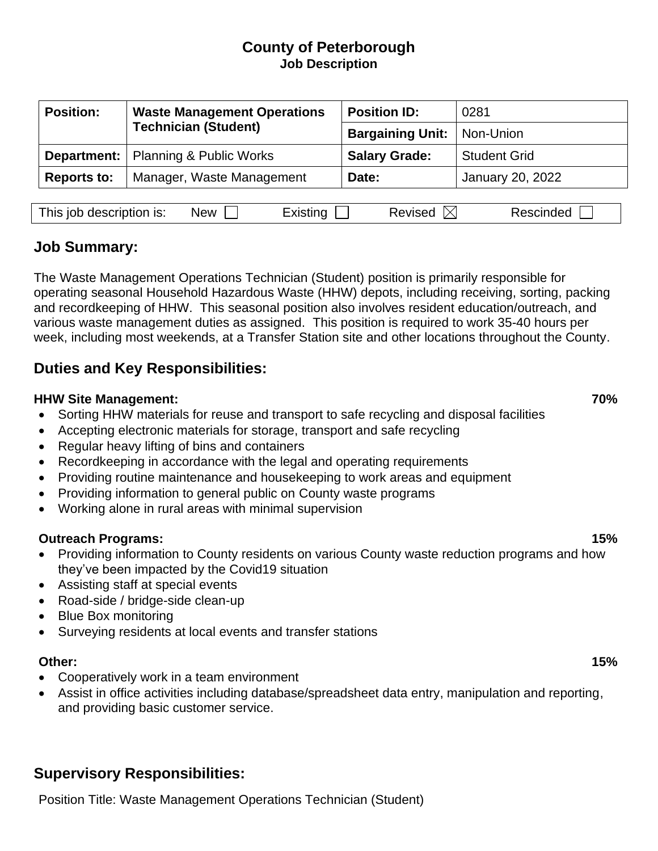### **County of Peterborough Job Description**

| <b>Position:</b>   | <b>Waste Management Operations</b><br><b>Technician (Student)</b> | <b>Position ID:</b>     | 0281                |
|--------------------|-------------------------------------------------------------------|-------------------------|---------------------|
|                    |                                                                   | <b>Bargaining Unit:</b> | Non-Union           |
|                    | <b>Department:</b>   Planning & Public Works                      | <b>Salary Grade:</b>    | <b>Student Grid</b> |
| <b>Reports to:</b> | Manager, Waste Management                                         | Date:                   | January 20, 2022    |
|                    |                                                                   |                         |                     |

| This job description is: | New |  | evised | naec<br>$-1$ |
|--------------------------|-----|--|--------|--------------|
|--------------------------|-----|--|--------|--------------|

## **Job Summary:**

The Waste Management Operations Technician (Student) position is primarily responsible for operating seasonal Household Hazardous Waste (HHW) depots, including receiving, sorting, packing and recordkeeping of HHW. This seasonal position also involves resident education/outreach, and various waste management duties as assigned. This position is required to work 35-40 hours per week, including most weekends, at a Transfer Station site and other locations throughout the County.

# **Duties and Key Responsibilities:**

### **HHW Site Management: 70%**

• Sorting HHW materials for reuse and transport to safe recycling and disposal facilities

- Accepting electronic materials for storage, transport and safe recycling
- Regular heavy lifting of bins and containers
- Recordkeeping in accordance with the legal and operating requirements
- Providing routine maintenance and housekeeping to work areas and equipment
- Providing information to general public on County waste programs
- Working alone in rural areas with minimal supervision

### **Outreach Programs: 15%**

- Providing information to County residents on various County waste reduction programs and how they've been impacted by the Covid19 situation
- Assisting staff at special events
- Road-side / bridge-side clean-up
- Blue Box monitoring
- Surveying residents at local events and transfer stations

#### **Other: 15%**

- Cooperatively work in a team environment
- Assist in office activities including database/spreadsheet data entry, manipulation and reporting, and providing basic customer service.

# **Supervisory Responsibilities:**

Position Title: Waste Management Operations Technician (Student)